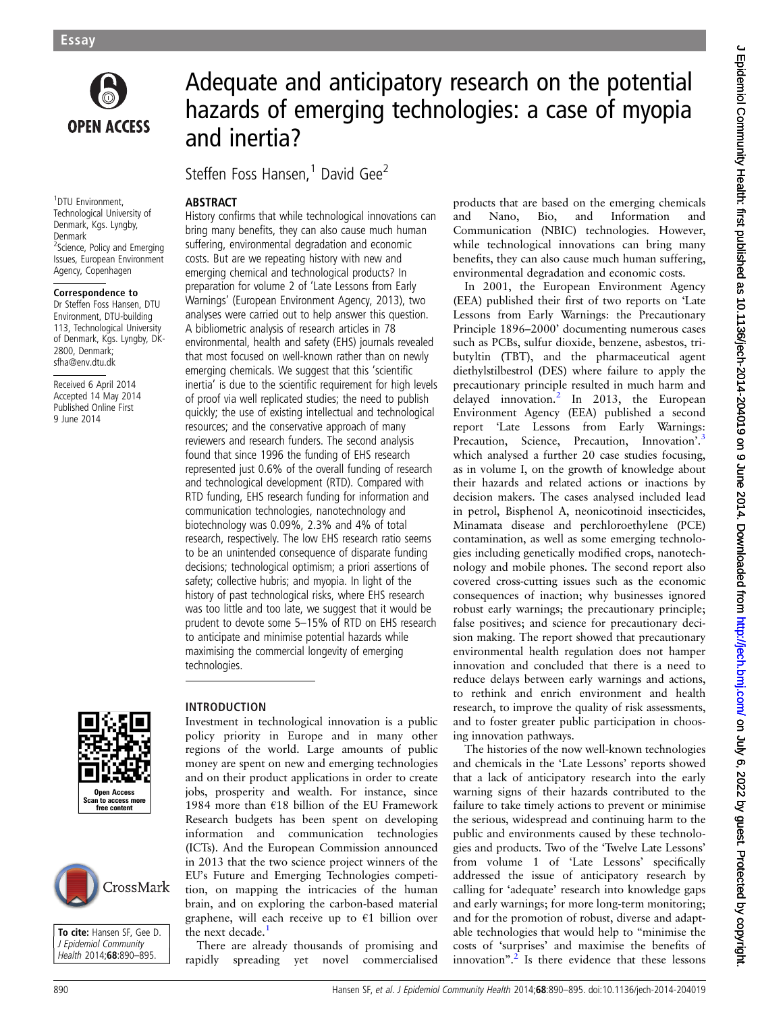

1 DTU Environment, Technological University of Denmark, Kgs. Lyngby, Denmark <sup>2</sup>Science, Policy and Emerging Issues, European Environment Agency, Copenhagen

#### Correspondence to

Dr Steffen Foss Hansen, DTU Environment, DTU-building 113, Technological University of Denmark, Kgs. Lyngby, DK-2800, Denmark; sfha@env.dtu.dk

Received 6 April 2014 Accepted 14 May 2014 Published Online First 9 June 2014





To cite: Hansen SF, Gee D. J Epidemiol Community Health 2014;68:890-895

# Adequate and anticipatory research on the potential hazards of emerging technologies: a case of myopia and inertia?

Steffen Foss Hansen.<sup>1</sup> David Gee<sup>2</sup>

# ABSTRACT

History confirms that while technological innovations can bring many benefits, they can also cause much human suffering, environmental degradation and economic costs. But are we repeating history with new and emerging chemical and technological products? In preparation for volume 2 of 'Late Lessons from Early Warnings' (European Environment Agency, 2013), two analyses were carried out to help answer this question. A bibliometric analysis of research articles in 78 environmental, health and safety (EHS) journals revealed that most focused on well-known rather than on newly emerging chemicals. We suggest that this 'scientific inertia' is due to the scientific requirement for high levels of proof via well replicated studies; the need to publish quickly; the use of existing intellectual and technological resources; and the conservative approach of many reviewers and research funders. The second analysis found that since 1996 the funding of EHS research represented just 0.6% of the overall funding of research and technological development (RTD). Compared with RTD funding, EHS research funding for information and communication technologies, nanotechnology and biotechnology was 0.09%, 2.3% and 4% of total research, respectively. The low EHS research ratio seems to be an unintended consequence of disparate funding decisions; technological optimism; a priori assertions of safety; collective hubris; and myopia. In light of the history of past technological risks, where EHS research was too little and too late, we suggest that it would be prudent to devote some 5–15% of RTD on EHS research to anticipate and minimise potential hazards while maximising the commercial longevity of emerging technologies.

# INTRODUCTION

Investment in technological innovation is a public policy priority in Europe and in many other regions of the world. Large amounts of public money are spent on new and emerging technologies and on their product applications in order to create jobs, prosperity and wealth. For instance, since 1984 more than €18 billion of the EU Framework Research budgets has been spent on developing information and communication technologies (ICTs). And the European Commission announced in 2013 that the two science project winners of the EU's Future and Emerging Technologies competition, on mapping the intricacies of the human brain, and on exploring the carbon-based material graphene, will each receive up to €1 billion over the next decade.<sup>[1](#page-4-0)</sup>

There are already thousands of promising and rapidly spreading yet novel commercialised

products that are based on the emerging chemicals and Nano, Bio, and Information and Communication (NBIC) technologies. However, while technological innovations can bring many benefits, they can also cause much human suffering, environmental degradation and economic costs.

In 2001, the European Environment Agency (EEA) published their first of two reports on 'Late Lessons from Early Warnings: the Precautionary Principle 1896–2000' documenting numerous cases such as PCBs, sulfur dioxide, benzene, asbestos, tributyltin (TBT), and the pharmaceutical agent diethylstilbestrol (DES) where failure to apply the precautionary principle resulted in much harm and delayed innovation.<sup>[2](#page-4-0)</sup> In 2013, the European Environment Agency (EEA) published a second report 'Late Lessons from Early Warnings: Precaution, Science, Precaution, Innovation'.<sup>[3](#page-4-0)</sup> which analysed a further 20 case studies focusing, as in volume I, on the growth of knowledge about their hazards and related actions or inactions by decision makers. The cases analysed included lead in petrol, Bisphenol A, neonicotinoid insecticides, Minamata disease and perchloroethylene (PCE) contamination, as well as some emerging technologies including genetically modified crops, nanotechnology and mobile phones. The second report also covered cross-cutting issues such as the economic consequences of inaction; why businesses ignored robust early warnings; the precautionary principle; false positives; and science for precautionary decision making. The report showed that precautionary environmental health regulation does not hamper innovation and concluded that there is a need to reduce delays between early warnings and actions, to rethink and enrich environment and health research, to improve the quality of risk assessments, and to foster greater public participation in choosing innovation pathways.

The histories of the now well-known technologies and chemicals in the 'Late Lessons' reports showed that a lack of anticipatory research into the early warning signs of their hazards contributed to the failure to take timely actions to prevent or minimise the serious, widespread and continuing harm to the public and environments caused by these technologies and products. Two of the 'Twelve Late Lessons' from volume 1 of 'Late Lessons' specifically addressed the issue of anticipatory research by calling for 'adequate' research into knowledge gaps and early warnings; for more long-term monitoring; and for the promotion of robust, diverse and adaptable technologies that would help to "minimise the costs of 'surprises' and maximise the benefits of innovation".<sup>[2](#page-4-0)</sup> Is there evidence that these lessons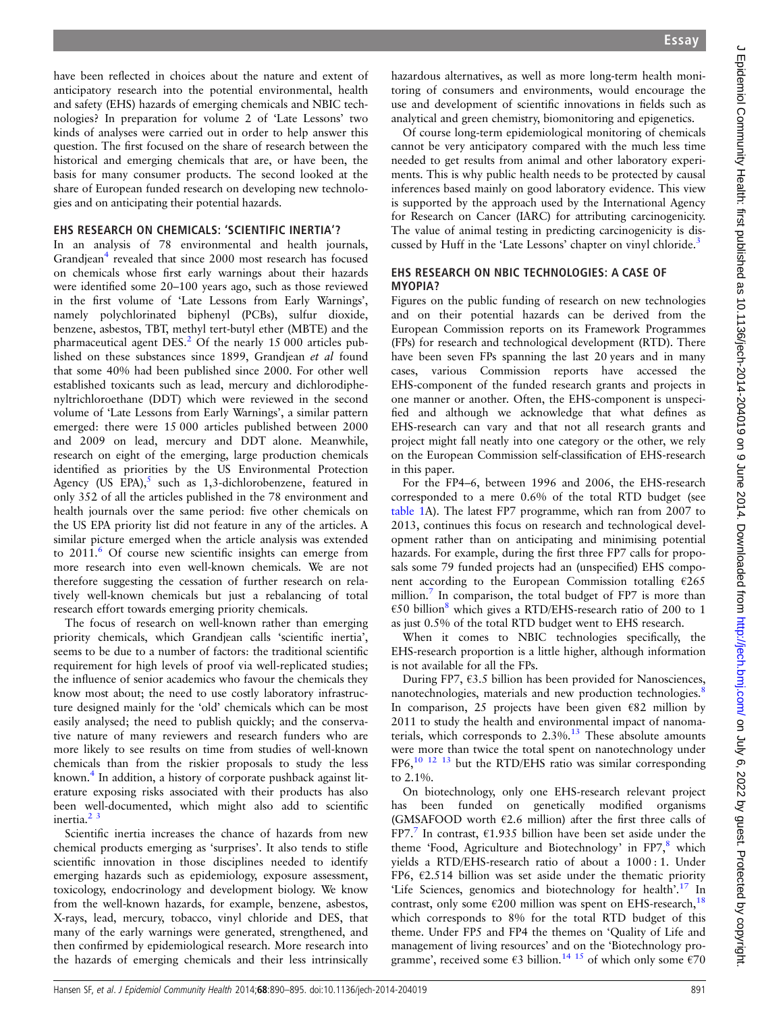have been reflected in choices about the nature and extent of anticipatory research into the potential environmental, health and safety (EHS) hazards of emerging chemicals and NBIC technologies? In preparation for volume 2 of 'Late Lessons' two kinds of analyses were carried out in order to help answer this question. The first focused on the share of research between the historical and emerging chemicals that are, or have been, the basis for many consumer products. The second looked at the share of European funded research on developing new technologies and on anticipating their potential hazards.

#### EHS RESEARCH ON CHEMICALS: 'SCIENTIFIC INERTIA'?

In an analysis of 78 environmental and health journals, Grandjean<sup>[4](#page-4-0)</sup> revealed that since 2000 most research has focused on chemicals whose first early warnings about their hazards were identified some 20–100 years ago, such as those reviewed in the first volume of 'Late Lessons from Early Warnings', namely polychlorinated biphenyl (PCBs), sulfur dioxide, benzene, asbestos, TBT, methyl tert-butyl ether (MBTE) and the pharmaceutical agent DES.<sup>[2](#page-4-0)</sup> Of the nearly 15 000 articles published on these substances since 1899, Grandjean et al found that some 40% had been published since 2000. For other well established toxicants such as lead, mercury and dichlorodiphenyltrichloroethane (DDT) which were reviewed in the second volume of 'Late Lessons from Early Warnings', a similar pattern emerged: there were 15 000 articles published between 2000 and 2009 on lead, mercury and DDT alone. Meanwhile, research on eight of the emerging, large production chemicals identified as priorities by the US Environmental Protection Agency (US EPA), $5$  such as 1,3-dichlorobenzene, featured in only 352 of all the articles published in the 78 environment and health journals over the same period: five other chemicals on the US EPA priority list did not feature in any of the articles. A similar picture emerged when the article analysis was extended to 2011.<sup>[6](#page-4-0)</sup> Of course new scientific insights can emerge from more research into even well-known chemicals. We are not therefore suggesting the cessation of further research on relatively well-known chemicals but just a rebalancing of total research effort towards emerging priority chemicals.

The focus of research on well-known rather than emerging priority chemicals, which Grandjean calls 'scientific inertia', seems to be due to a number of factors: the traditional scientific requirement for high levels of proof via well-replicated studies; the influence of senior academics who favour the chemicals they know most about; the need to use costly laboratory infrastructure designed mainly for the 'old' chemicals which can be most easily analysed; the need to publish quickly; and the conservative nature of many reviewers and research funders who are more likely to see results on time from studies of well-known chemicals than from the riskier proposals to study the less known.<sup>[4](#page-4-0)</sup> In addition, a history of corporate pushback against literature exposing risks associated with their products has also been well-documented, which might also add to scientific inertia.<sup>23</sup>

Scientific inertia increases the chance of hazards from new chemical products emerging as 'surprises'. It also tends to stifle scientific innovation in those disciplines needed to identify emerging hazards such as epidemiology, exposure assessment, toxicology, endocrinology and development biology. We know from the well-known hazards, for example, benzene, asbestos, X-rays, lead, mercury, tobacco, vinyl chloride and DES, that many of the early warnings were generated, strengthened, and then confirmed by epidemiological research. More research into the hazards of emerging chemicals and their less intrinsically

hazardous alternatives, as well as more long-term health monitoring of consumers and environments, would encourage the use and development of scientific innovations in fields such as analytical and green chemistry, biomonitoring and epigenetics.

Of course long-term epidemiological monitoring of chemicals cannot be very anticipatory compared with the much less time needed to get results from animal and other laboratory experiments. This is why public health needs to be protected by causal inferences based mainly on good laboratory evidence. This view is supported by the approach used by the International Agency for Research on Cancer (IARC) for attributing carcinogenicity. The value of animal testing in predicting carcinogenicity is dis-cussed by Huff in the 'Late Lessons' chapter on vinyl chloride.<sup>[3](#page-4-0)</sup>

# EHS RESEARCH ON NBIC TECHNOLOGIES: A CASE OF MYOPIA?

Figures on the public funding of research on new technologies and on their potential hazards can be derived from the European Commission reports on its Framework Programmes (FPs) for research and technological development (RTD). There have been seven FPs spanning the last 20 years and in many cases, various Commission reports have accessed the EHS-component of the funded research grants and projects in one manner or another. Often, the EHS-component is unspecified and although we acknowledge that what defines as EHS-research can vary and that not all research grants and project might fall neatly into one category or the other, we rely on the European Commission self-classification of EHS-research in this paper.

For the FP4–6, between 1996 and 2006, the EHS-research corresponded to a mere 0.6% of the total RTD budget (see [table 1](#page-2-0)A). The latest FP7 programme, which ran from 2007 to 2013, continues this focus on research and technological development rather than on anticipating and minimising potential hazards. For example, during the first three FP7 calls for proposals some 79 funded projects had an (unspecified) EHS component according to the European Commission totalling €265 million.<sup>7</sup> In comparison, the total budget of FP7 is more than  $\epsilon$ 50 billion<sup>[8](#page-4-0)</sup> which gives a RTD/EHS-research ratio of 200 to 1 as just 0.5% of the total RTD budget went to EHS research.

When it comes to NBIC technologies specifically, the EHS-research proportion is a little higher, although information is not available for all the FPs.

During FP7, €3.5 billion has been provided for Nanosciences, nanotechnologies, materials and new production technologies.<sup>[8](#page-4-0)</sup> In comparison, 25 projects have been given  $\epsilon$ 82 million by 2011 to study the health and environmental impact of nanomaterials, which corresponds to 2.3%.<sup>13</sup> These absolute amounts were more than twice the total spent on nanotechnology under FP6,<sup>[10 12 13](#page-4-0)</sup> but the RTD/EHS ratio was similar corresponding to 2.1%.

On biotechnology, only one EHS-research relevant project has been funded on genetically modified organisms (GMSAFOOD worth  $E2.6$  million) after the first three calls of FP[7](#page-4-0).<sup>7</sup> In contrast,  $61.935$  billion have been set aside under the theme 'Food, Agriculture and Biotechnology' in  $FPT$ <sup>[8](#page-4-0)</sup>, which yields a RTD/EHS-research ratio of about a 1000 : 1. Under FP6, €2.514 billion was set aside under the thematic priority 'Life Sciences, genomics and biotechnology for health'.<sup>[17](#page-4-0)</sup> In contrast, only some  $\epsilon$ 200 million was spent on EHS-research,<sup>[18](#page-4-0)</sup> which corresponds to 8% for the total RTD budget of this theme. Under FP5 and FP4 the themes on 'Quality of Life and management of living resources' and on the 'Biotechnology programme', received some  $\epsilon$ 3 billion.<sup>14 15</sup> of which only some  $\epsilon$ 70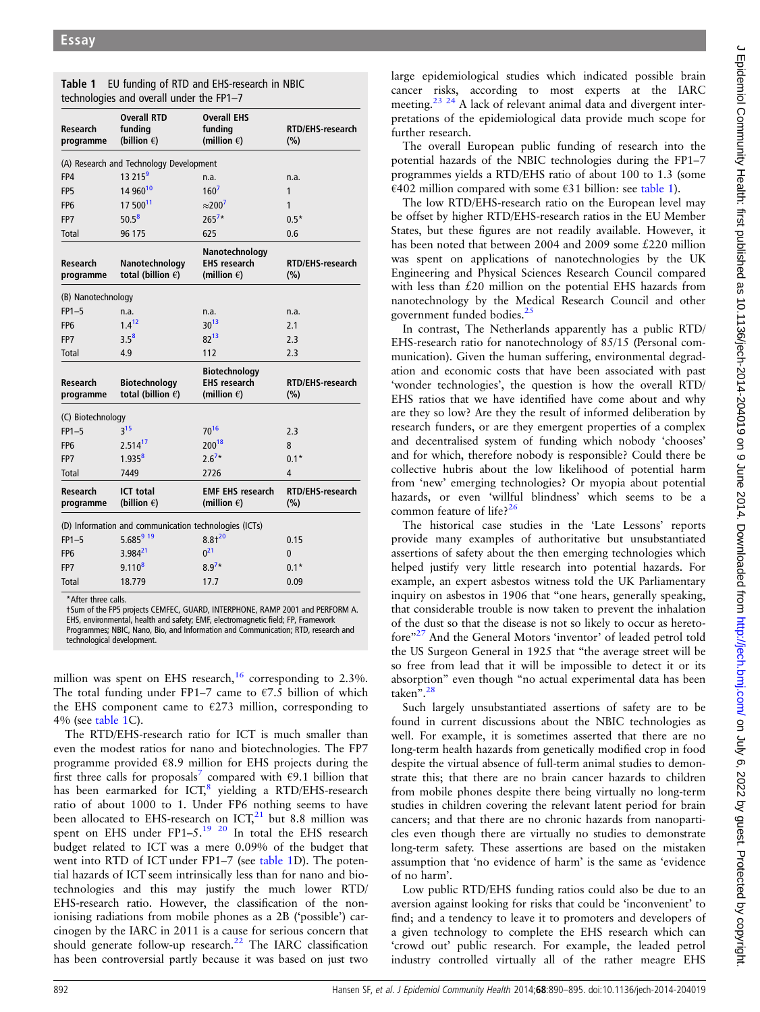| technologies and overall under the FP1-7 |                                                        |                                                                |                                |
|------------------------------------------|--------------------------------------------------------|----------------------------------------------------------------|--------------------------------|
| Research<br>programme                    | <b>Overall RTD</b><br>funding<br>(billion $\epsilon$ ) | <b>Overall EHS</b><br>funding<br>(million $\epsilon$ )         | <b>RTD/EHS-research</b><br>(%) |
|                                          | (A) Research and Technology Development                |                                                                |                                |
| FP4                                      | 13 215 <sup>9</sup>                                    | n.a.                                                           | n.a.                           |
| FP <sub>5</sub>                          | 14 960 <sup>10</sup>                                   | 160 <sup>7</sup>                                               | 1                              |
| FP <sub>6</sub>                          | 17 500 <sup>11</sup>                                   | $\approx$ 200 <sup>7</sup>                                     | 1                              |
| FP7                                      | $50.5^{8}$                                             | $265^{7*}$                                                     | $0.5*$                         |
| Total                                    | 96 175                                                 | 625                                                            | 0.6                            |
| Research<br>programme                    | Nanotechnology<br>total (billion $\epsilon$ )          | Nanotechnology<br><b>EHS research</b><br>(million $\epsilon$ ) | RTD/EHS-research<br>(%)        |
| (B) Nanotechnology                       |                                                        |                                                                |                                |
| $FP1-5$                                  | n.a.                                                   | n.a.                                                           | n.a.                           |
| FP <sub>6</sub>                          | $1.4^{12}$                                             | $30^{13}$                                                      | 2.1                            |
| FP7                                      | $3.5^{8}$                                              | $82^{13}$                                                      | 2.3                            |
| <b>Total</b>                             | 4.9                                                    | 112                                                            | 2.3                            |
| Research<br>programme                    | Biotechnology<br>total (billion $\epsilon$ )           | Biotechnology<br><b>EHS research</b><br>(million $\epsilon$ )  | RTD/EHS-research<br>(%)        |
| (C) Biotechnology                        |                                                        |                                                                |                                |
| $FP1-5$                                  | 3 <sup>15</sup>                                        | $70^{16}$                                                      | 2.3                            |
| FP <sub>6</sub>                          | $2.514^{17}$                                           | 200 <sup>18</sup>                                              | 8                              |
| FP7                                      | $1.935^{8}$                                            | $2.6^{7*}$                                                     | $0.1*$                         |
| Total                                    | 7449                                                   | 2726                                                           | 4                              |
| Research<br>programme                    | <b>ICT</b> total<br>(billion $\epsilon$ )              | <b>EMF EHS research</b><br>(million $\epsilon$ )               | <b>RTD/EHS-research</b><br>(%) |
|                                          | (D) Information and communication technologies (ICTs)  |                                                                |                                |
| $FP1-5$                                  | 5.685 <sup>9</sup> 19                                  | $8.8 + {}^{20}$                                                | 0.15                           |
| FP <sub>6</sub>                          | 3.984 <sup>21</sup>                                    | $0^{21}$                                                       | $\mathbf{0}$                   |
| FP7                                      | $9.110^{8}$                                            | $8.9^{7*}$                                                     | $0.1*$                         |
|                                          |                                                        |                                                                |                                |

<span id="page-2-0"></span>Table 1 EU funding of RTD and EHS-research in NBIC technologies and overall under the FP1–7

\*After three calls.

†Sum of the FP5 projects CEMFEC, GUARD, INTERPHONE, RAMP 2001 and PERFORM A. EHS, environmental, health and safety; EMF, electromagnetic field; FP, Framework Programmes; NBIC, Nano, Bio, and Information and Communication; RTD, research and technological development.

million was spent on EHS research,  $16$  corresponding to 2.3%. The total funding under FP1–7 came to  $\epsilon$ 7.5 billion of which the EHS component came to  $E$ 273 million, corresponding to 4% (see table 1C).

The RTD/EHS-research ratio for ICT is much smaller than even the modest ratios for nano and biotechnologies. The FP7 programme provided  $68.9$  million for EHS projects during the first three calls for proposals<sup>[7](#page-4-0)</sup> compared with  $\epsilon$ 9.1 billion that has been earmarked for ICT,<sup>[8](#page-4-0)</sup> yielding a RTD/EHS-research ratio of about 1000 to 1. Under FP6 nothing seems to have been allocated to EHS-research on  $\text{ICT},^{21}$  $\text{ICT},^{21}$  $\text{ICT},^{21}$  but 8.8 million was spent on EHS under FP1-5. $^{19}$   $^{20}$  In total the EHS research budget related to ICT was a mere 0.09% of the budget that went into RTD of ICT under FP1–7 (see table 1D). The potential hazards of ICT seem intrinsically less than for nano and biotechnologies and this may justify the much lower RTD/ EHS-research ratio. However, the classification of the nonionising radiations from mobile phones as a 2B ('possible') carcinogen by the IARC in 2011 is a cause for serious concern that should generate follow-up research.<sup>[22](#page-4-0)</sup> The IARC classification has been controversial partly because it was based on just two

large epidemiological studies which indicated possible brain cancer risks, according to most experts at the IARC meeting.<sup>23 24</sup> A lack of relevant animal data and divergent interpretations of the epidemiological data provide much scope for further research.

The overall European public funding of research into the potential hazards of the NBIC technologies during the FP1–7 programmes yields a RTD/EHS ratio of about 100 to 1.3 (some  $\epsilon$ 402 million compared with some  $\epsilon$ 31 billion: see table 1).

The low RTD/EHS-research ratio on the European level may be offset by higher RTD/EHS-research ratios in the EU Member States, but these figures are not readily available. However, it has been noted that between 2004 and 2009 some £220 million was spent on applications of nanotechnologies by the UK Engineering and Physical Sciences Research Council compared with less than £20 million on the potential EHS hazards from nanotechnology by the Medical Research Council and other government funded bodies.<sup>25</sup>

In contrast, The Netherlands apparently has a public RTD/ EHS-research ratio for nanotechnology of 85/15 (Personal communication). Given the human suffering, environmental degradation and economic costs that have been associated with past 'wonder technologies', the question is how the overall RTD/ EHS ratios that we have identified have come about and why are they so low? Are they the result of informed deliberation by research funders, or are they emergent properties of a complex and decentralised system of funding which nobody 'chooses' and for which, therefore nobody is responsible? Could there be collective hubris about the low likelihood of potential harm from 'new' emerging technologies? Or myopia about potential hazards, or even 'willful blindness' which seems to be a common feature of life?<sup>[26](#page-4-0)</sup>

The historical case studies in the 'Late Lessons' reports provide many examples of authoritative but unsubstantiated assertions of safety about the then emerging technologies which helped justify very little research into potential hazards. For example, an expert asbestos witness told the UK Parliamentary inquiry on asbestos in 1906 that "one hears, generally speaking, that considerable trouble is now taken to prevent the inhalation of the dust so that the disease is not so likely to occur as hereto-fore"<sup>[27](#page-4-0)</sup> And the General Motors 'inventor' of leaded petrol told the US Surgeon General in 1925 that "the average street will be so free from lead that it will be impossible to detect it or its absorption" even though "no actual experimental data has been taken". [28](#page-4-0)

Such largely unsubstantiated assertions of safety are to be found in current discussions about the NBIC technologies as well. For example, it is sometimes asserted that there are no long-term health hazards from genetically modified crop in food despite the virtual absence of full-term animal studies to demonstrate this; that there are no brain cancer hazards to children from mobile phones despite there being virtually no long-term studies in children covering the relevant latent period for brain cancers; and that there are no chronic hazards from nanoparticles even though there are virtually no studies to demonstrate long-term safety. These assertions are based on the mistaken assumption that 'no evidence of harm' is the same as 'evidence of no harm'.

Low public RTD/EHS funding ratios could also be due to an aversion against looking for risks that could be 'inconvenient' to find; and a tendency to leave it to promoters and developers of a given technology to complete the EHS research which can 'crowd out' public research. For example, the leaded petrol industry controlled virtually all of the rather meagre EHS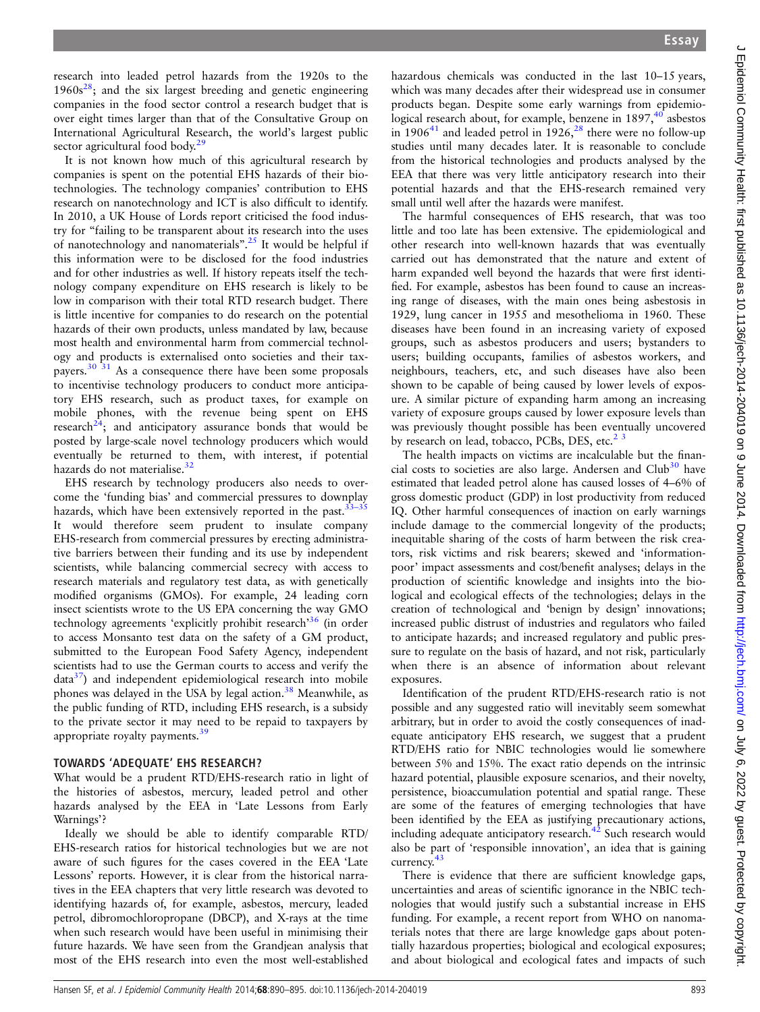research into leaded petrol hazards from the 1920s to the  $1960s<sup>28</sup>$ ; and the six largest breeding and genetic engineering companies in the food sector control a research budget that is over eight times larger than that of the Consultative Group on International Agricultural Research, the world's largest public sector agricultural food body.<sup>[29](#page-4-0)</sup>

It is not known how much of this agricultural research by companies is spent on the potential EHS hazards of their biotechnologies. The technology companies' contribution to EHS research on nanotechnology and ICT is also difficult to identify. In 2010, a UK House of Lords report criticised the food industry for "failing to be transparent about its research into the uses of nanotechnology and nanomaterials".<sup>[25](#page-4-0)</sup> It would be helpful if this information were to be disclosed for the food industries and for other industries as well. If history repeats itself the technology company expenditure on EHS research is likely to be low in comparison with their total RTD research budget. There is little incentive for companies to do research on the potential hazards of their own products, unless mandated by law, because most health and environmental harm from commercial technology and products is externalised onto societies and their taxpayers. $30^{31}$  $30^{31}$  As a consequence there have been some proposals to incentivise technology producers to conduct more anticipatory EHS research, such as product taxes, for example on mobile phones, with the revenue being spent on EHS research<sup>24</sup>; and anticipatory assurance bonds that would be posted by large-scale novel technology producers which would eventually be returned to them, with interest, if potential hazards do not materialise.<sup>[32](#page-5-0)</sup>

EHS research by technology producers also needs to overcome the 'funding bias' and commercial pressures to downplay hazards, which have been extensively reported in the past.<sup>33–35</sup> It would therefore seem prudent to insulate company EHS-research from commercial pressures by erecting administrative barriers between their funding and its use by independent scientists, while balancing commercial secrecy with access to research materials and regulatory test data, as with genetically modified organisms (GMOs). For example, 24 leading corn insect scientists wrote to the US EPA concerning the way GMO technology agreements 'explicitly prohibit research' [36](#page-5-0) (in order to access Monsanto test data on the safety of a GM product, submitted to the European Food Safety Agency, independent scientists had to use the German courts to access and verify the  $data<sup>37</sup>$  $data<sup>37</sup>$  $data<sup>37</sup>$  and independent epidemiological research into mobile phones was delayed in the USA by legal action.<sup>[38](#page-5-0)</sup> Meanwhile, as the public funding of RTD, including EHS research, is a subsidy to the private sector it may need to be repaid to taxpayers by appropriate royalty payments.<sup>[39](#page-5-0)</sup>

#### TOWARDS 'ADEQUATE' EHS RESEARCH?

What would be a prudent RTD/EHS-research ratio in light of the histories of asbestos, mercury, leaded petrol and other hazards analysed by the EEA in 'Late Lessons from Early Warnings'?

Ideally we should be able to identify comparable RTD/ EHS-research ratios for historical technologies but we are not aware of such figures for the cases covered in the EEA 'Late Lessons' reports. However, it is clear from the historical narratives in the EEA chapters that very little research was devoted to identifying hazards of, for example, asbestos, mercury, leaded petrol, dibromochloropropane (DBCP), and X-rays at the time when such research would have been useful in minimising their future hazards. We have seen from the Grandjean analysis that most of the EHS research into even the most well-established

hazardous chemicals was conducted in the last 10–15 years, which was many decades after their widespread use in consumer products began. Despite some early warnings from epidemiological research about, for example, benzene in  $1897<sup>40</sup>$  $1897<sup>40</sup>$  $1897<sup>40</sup>$  asbestos in  $1906<sup>41</sup>$  $1906<sup>41</sup>$  $1906<sup>41</sup>$  and leaded petrol in  $1926<sup>28</sup>$  $1926<sup>28</sup>$  $1926<sup>28</sup>$ , there were no follow-up studies until many decades later. It is reasonable to conclude from the historical technologies and products analysed by the EEA that there was very little anticipatory research into their potential hazards and that the EHS-research remained very small until well after the hazards were manifest.

The harmful consequences of EHS research, that was too little and too late has been extensive. The epidemiological and other research into well-known hazards that was eventually carried out has demonstrated that the nature and extent of harm expanded well beyond the hazards that were first identified. For example, asbestos has been found to cause an increasing range of diseases, with the main ones being asbestosis in 1929, lung cancer in 1955 and mesothelioma in 1960. These diseases have been found in an increasing variety of exposed groups, such as asbestos producers and users; bystanders to users; building occupants, families of asbestos workers, and neighbours, teachers, etc, and such diseases have also been shown to be capable of being caused by lower levels of exposure. A similar picture of expanding harm among an increasing variety of exposure groups caused by lower exposure levels than was previously thought possible has been eventually uncovered by research on lead, tobacco, PCBs, DES, etc.<sup>2</sup> <sup>3</sup>

The health impacts on victims are incalculable but the financial costs to societies are also large. Andersen and  $\text{Club}^{30}$  $\text{Club}^{30}$  $\text{Club}^{30}$  have estimated that leaded petrol alone has caused losses of 4–6% of gross domestic product (GDP) in lost productivity from reduced IQ. Other harmful consequences of inaction on early warnings include damage to the commercial longevity of the products; inequitable sharing of the costs of harm between the risk creators, risk victims and risk bearers; skewed and 'informationpoor' impact assessments and cost/benefit analyses; delays in the production of scientific knowledge and insights into the biological and ecological effects of the technologies; delays in the creation of technological and 'benign by design' innovations; increased public distrust of industries and regulators who failed to anticipate hazards; and increased regulatory and public pressure to regulate on the basis of hazard, and not risk, particularly when there is an absence of information about relevant exposures.

Identification of the prudent RTD/EHS-research ratio is not possible and any suggested ratio will inevitably seem somewhat arbitrary, but in order to avoid the costly consequences of inadequate anticipatory EHS research, we suggest that a prudent RTD/EHS ratio for NBIC technologies would lie somewhere between 5% and 15%. The exact ratio depends on the intrinsic hazard potential, plausible exposure scenarios, and their novelty, persistence, bioaccumulation potential and spatial range. These are some of the features of emerging technologies that have been identified by the EEA as justifying precautionary actions, including adequate anticipatory research. $42$  Such research would also be part of 'responsible innovation', an idea that is gaining currency.<sup>[43](#page-5-0)</sup>

There is evidence that there are sufficient knowledge gaps, uncertainties and areas of scientific ignorance in the NBIC technologies that would justify such a substantial increase in EHS funding. For example, a recent report from WHO on nanomaterials notes that there are large knowledge gaps about potentially hazardous properties; biological and ecological exposures; and about biological and ecological fates and impacts of such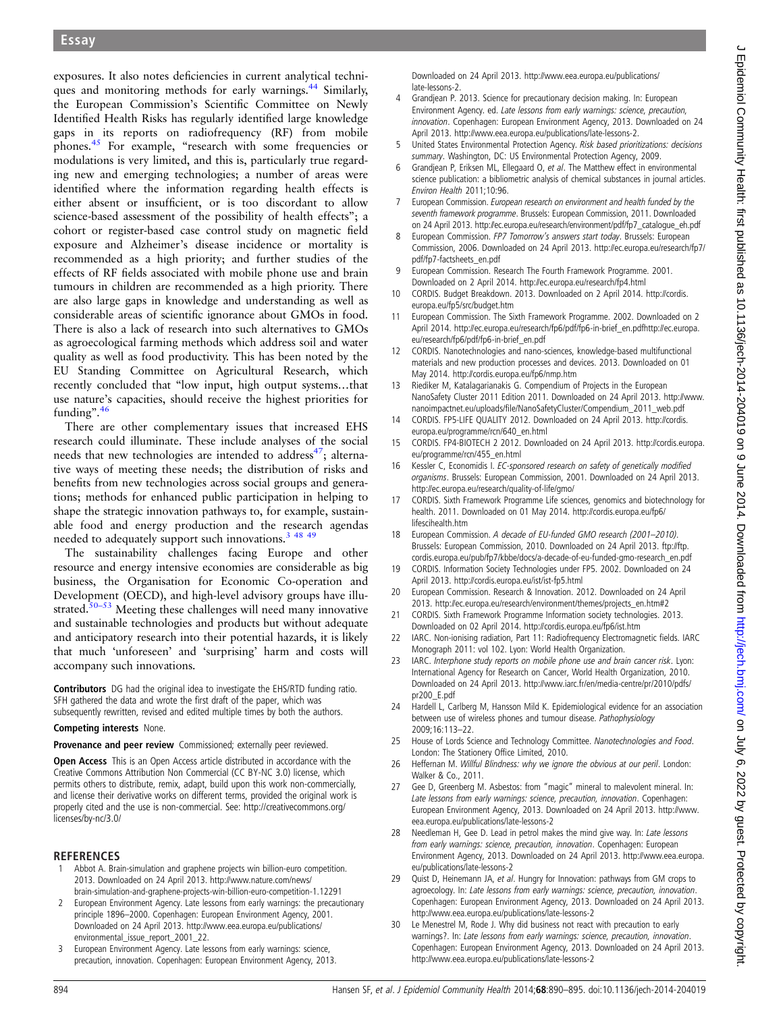<span id="page-4-0"></span>exposures. It also notes deficiencies in current analytical techniques and monitoring methods for early warnings.[44](#page-5-0) Similarly, the European Commission's Scientific Committee on Newly Identified Health Risks has regularly identified large knowledge gaps in its reports on radiofrequency (RF) from mobile phones.[45](#page-5-0) For example, "research with some frequencies or modulations is very limited, and this is, particularly true regarding new and emerging technologies; a number of areas were identified where the information regarding health effects is either absent or insufficient, or is too discordant to allow science-based assessment of the possibility of health effects"; a cohort or register-based case control study on magnetic field exposure and Alzheimer's disease incidence or mortality is recommended as a high priority; and further studies of the effects of RF fields associated with mobile phone use and brain tumours in children are recommended as a high priority. There are also large gaps in knowledge and understanding as well as considerable areas of scientific ignorance about GMOs in food. There is also a lack of research into such alternatives to GMOs as agroecological farming methods which address soil and water quality as well as food productivity. This has been noted by the EU Standing Committee on Agricultural Research, which recently concluded that "low input, high output systems…that use nature's capacities, should receive the highest priorities for funding".<sup>[46](#page-5-0)</sup>

There are other complementary issues that increased EHS research could illuminate. These include analyses of the social needs that new technologies are intended to address<sup>[47](#page-5-0)</sup>; alternative ways of meeting these needs; the distribution of risks and benefits from new technologies across social groups and generations; methods for enhanced public participation in helping to shape the strategic innovation pathways to, for example, sustainable food and energy production and the research agendas needed to adequately support such innovations.<sup>3</sup> <sup>48</sup> <sup>49</sup>

The sustainability challenges facing Europe and other resource and energy intensive economies are considerable as big business, the Organisation for Economic Co-operation and Development (OECD), and high-level advisory groups have illustrated. $50-53$  $50-53$  Meeting these challenges will need many innovative and sustainable technologies and products but without adequate and anticipatory research into their potential hazards, it is likely that much 'unforeseen' and 'surprising' harm and costs will accompany such innovations.

Contributors DG had the original idea to investigate the EHS/RTD funding ratio. SFH gathered the data and wrote the first draft of the paper, which was subsequently rewritten, revised and edited multiple times by both the authors.

#### Competing interests None.

Provenance and peer review Commissioned; externally peer reviewed.

Open Access This is an Open Access article distributed in accordance with the Creative Commons Attribution Non Commercial (CC BY-NC 3.0) license, which permits others to distribute, remix, adapt, build upon this work non-commercially, and license their derivative works on different terms, provided the original work is properly cited and the use is non-commercial. See: [http://creativecommons.org/](http://creativecommons.org/licenses/by-nc/3.0/) [licenses/by-nc/3.0/](http://creativecommons.org/licenses/by-nc/3.0/)

### REFERENCES

- Abbot A. Brain-simulation and graphene projects win billion-euro competition. 2013. Downloaded on 24 April 2013. [http://www.nature.com/news/](http://www.nature.com/news/brain-simulation-and-graphene-projects-win-billion-euro-competition-1.12291) [brain-simulation-and-graphene-projects-win-billion-euro-competition-1.12291](http://www.nature.com/news/brain-simulation-and-graphene-projects-win-billion-euro-competition-1.12291)
- 2 European Environment Agency. Late lessons from early warnings: the precautionary principle 1896–2000. Copenhagen: European Environment Agency, 2001. Downloaded on 24 April 2013. [http://www.eea.europa.eu/publications/](http://www.eea.europa.eu/publications/environmental_issue_report_2001_22) [environmental\\_issue\\_report\\_2001\\_22](http://www.eea.europa.eu/publications/environmental_issue_report_2001_22).
- 3 European Environment Agency. Late lessons from early warnings: science, precaution, innovation. Copenhagen: European Environment Agency, 2013.

Downloaded on 24 April 2013. [http://www.eea.europa.eu/publications/](http://www.eea.europa.eu/publications/late-lessons-2) [late-lessons-2.](http://www.eea.europa.eu/publications/late-lessons-2)

- 4 Grandjean P. 2013. Science for precautionary decision making. In: European Environment Agency. ed. Late lessons from early warnings: science, precaution, innovation. Copenhagen: European Environment Agency, 2013. Downloaded on 24 April 2013.<http://www.eea.europa.eu/publications/late-lessons-2>.
- United States Environmental Protection Agency. Risk based prioritizations: decisions summary. Washington, DC: US Environmental Protection Agency, 2009.
- Grandjean P, Eriksen ML, Ellegaard O, et al. The Matthew effect in environmental science publication: a bibliometric analysis of chemical substances in journal articles. Environ Health 2011;10:96.
- 7 European Commission. European research on environment and health funded by the seventh framework programme. Brussels: European Commission, 2011. Downloaded on 24 April 2013. [http://ec.europa.eu/research/environment/pdf/fp7\\_catalogue\\_eh.pdf](http://ec.europa.eu/research/environment/pdf/fp7_catalogue_eh.pdf)
- European Commission. FP7 Tomorrow's answers start today. Brussels: European Commission, 2006. Downloaded on 24 April 2013. [http://ec.europa.eu/research/fp7/](http://ec.europa.eu/research/fp7/pdf/fp7-factsheets_en.pdf) [pdf/fp7-factsheets\\_en.pdf](http://ec.europa.eu/research/fp7/pdf/fp7-factsheets_en.pdf)
- 9 European Commission. Research The Fourth Framework Programme. 2001. Downloaded on 2 April 2014.<http://ec.europa.eu/research/fp4.html>
- 10 CORDIS. Budget Breakdown. 2013. Downloaded on 2 April 2014. [http://cordis.](http://cordis.europa.eu/fp5/src/budget.htm) [europa.eu/fp5/src/budget.htm](http://cordis.europa.eu/fp5/src/budget.htm)
- 11 European Commission. The Sixth Framework Programme. 2002. Downloaded on 2 April 2014. [http://ec.europa.eu/research/fp6/pdf/fp6-in-brief\\_en.pdfhttp://ec.europa.](http://ec.europa.eu/research/fp6/pdf/fp6-in-brief_en.pdfhttp://ec.europa.eu/research/fp6/pdf/fp6-in-brief_en.pdf) [eu/research/fp6/pdf/fp6-in-brief\\_en.pdf](http://ec.europa.eu/research/fp6/pdf/fp6-in-brief_en.pdfhttp://ec.europa.eu/research/fp6/pdf/fp6-in-brief_en.pdf)
- 12 CORDIS. Nanotechnologies and nano-sciences, knowledge-based multifunctional materials and new production processes and devices. 2013. Downloaded on 01 May 2014.<http://cordis.europa.eu/fp6/nmp.htm>
- 13 Riediker M, Katalagarianakis G. Compendium of Projects in the European NanoSafety Cluster 2011 Edition 2011. Downloaded on 24 April 2013. [http://www.](http://www.nanoimpactnet.eu/uploads/file/NanoSafetyCluster/Compendium_2011_web.pdf) nanoimpactnet.eu/uploads/fi[le/NanoSafetyCluster/Compendium\\_2011\\_web.pdf](http://www.nanoimpactnet.eu/uploads/file/NanoSafetyCluster/Compendium_2011_web.pdf)
- 14 CORDIS. FP5-LIFE QUALITY 2012. Downloaded on 24 April 2013. [http://cordis.](http://cordis.europa.eu/programme/rcn/640_en.html) [europa.eu/programme/rcn/640\\_en.html](http://cordis.europa.eu/programme/rcn/640_en.html)
- 15 CORDIS. FP4-BIOTECH 2 2012. Downloaded on 24 April 2013. [http://cordis.europa.](http://cordis.europa.eu/programme/rcn/455_en.html) [eu/programme/rcn/455\\_en.html](http://cordis.europa.eu/programme/rcn/455_en.html)
- 16 Kessler C, Economidis I. EC-sponsored research on safety of genetically modified organisms. Brussels: European Commission, 2001. Downloaded on 24 April 2013. <http://ec.europa.eu/research/quality-of-life/gmo/>
- 17 CORDIS. Sixth Framework Programme Life sciences, genomics and biotechnology for health. 2011. Downloaded on 01 May 2014. [http://cordis.europa.eu/fp6/](http://cordis.europa.eu/fp6/lifescihealth.htm) [lifescihealth.htm](http://cordis.europa.eu/fp6/lifescihealth.htm)
- 18 European Commission. A decade of EU-funded GMO research (2001–2010). Brussels: European Commission, 2010. Downloaded on 24 April 2013. [ftp://ftp.](ftp://ftp.cordis.europa.eu/pub/fp7/kbbe/docs/a-decade-of-eu-funded-gmo-research_en.pdf) [cordis.europa.eu/pub/fp7/kbbe/docs/a-decade-of-eu-funded-gmo-research\\_en.pdf](ftp://ftp.cordis.europa.eu/pub/fp7/kbbe/docs/a-decade-of-eu-funded-gmo-research_en.pdf)
- 19 CORDIS. Information Society Technologies under FP5. 2002. Downloaded on 24 April 2013.<http://cordis.europa.eu/ist/ist-fp5.html>
- 20 European Commission. Research & Innovation. 2012. Downloaded on 24 April 2013. [http://ec.europa.eu/research/environment/themes/projects\\_en.htm#2](http://ec.europa.eu/research/environment/themes/projects_en.htm#2)
- 21 CORDIS. Sixth Framework Programme Information society technologies. 2013. Downloaded on 02 April 2014.<http://cordis.europa.eu/fp6/ist.htm>
- 22 IARC. Non-ionising radiation, Part 11: Radiofrequency Electromagnetic fields. IARC Monograph 2011: vol 102. Lyon: World Health Organization.
- 23 IARC. Interphone study reports on mobile phone use and brain cancer risk. Lyon: International Agency for Research on Cancer, World Health Organization, 2010. Downloaded on 24 April 2013. [http://www.iarc.fr/en/media-centre/pr/2010/pdfs/](http://www.iarc.fr/en/media-centre/pr/2010/pdfs/pr200_E.pdf) [pr200\\_E.pdf](http://www.iarc.fr/en/media-centre/pr/2010/pdfs/pr200_E.pdf)
- 24 Hardell L, Carlberg M, Hansson Mild K. Epidemiological evidence for an association between use of wireless phones and tumour disease. Pathophysiology 2009;16:113–22.
- 25 House of Lords Science and Technology Committee. Nanotechnologies and Food. London: The Stationery Office Limited, 2010.
- 26 Heffernan M. Willful Blindness: why we ignore the obvious at our peril. London: Walker & Co., 2011.
- 27 Gee D, Greenberg M. Asbestos: from "magic" mineral to malevolent mineral. In: Late lessons from early warnings: science, precaution, innovation. Copenhagen: European Environment Agency, 2013. Downloaded on 24 April 2013. [http://www.](http://www.eea.europa.eu/publications/late-lessons-2) [eea.europa.eu/publications/late-lessons-2](http://www.eea.europa.eu/publications/late-lessons-2)
- 28 Needleman H, Gee D. Lead in petrol makes the mind give way. In: Late lessons from early warnings: science, precaution, innovation. Copenhagen: European Environment Agency, 2013. Downloaded on 24 April 2013. [http://www.eea.europa.](http://www.eea.europa.eu/publications/late-lessons-2) [eu/publications/late-lessons-2](http://www.eea.europa.eu/publications/late-lessons-2)
- 29 Quist D, Heinemann JA, et al. Hungry for Innovation: pathways from GM crops to agroecology. In: Late lessons from early warnings: science, precaution, innovation. Copenhagen: European Environment Agency, 2013. Downloaded on 24 April 2013. <http://www.eea.europa.eu/publications/late-lessons-2>
- 30 Le Menestrel M, Rode J. Why did business not react with precaution to early warnings?. In: Late lessons from early warnings: science, precaution, innovation. Copenhagen: European Environment Agency, 2013. Downloaded on 24 April 2013. <http://www.eea.europa.eu/publications/late-lessons-2>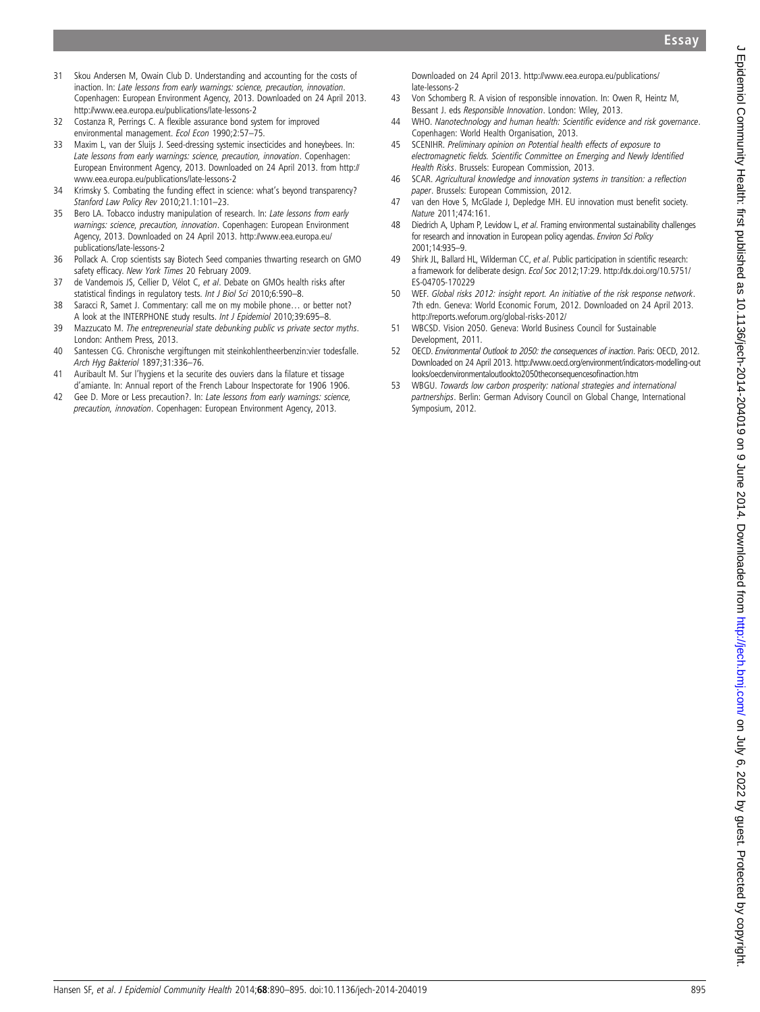Essay

- <span id="page-5-0"></span>31 Skou Andersen M, Owain Club D. Understanding and accounting for the costs of inaction. In: Late lessons from early warnings: science, precaution, innovation Copenhagen: European Environment Agency, 2013. Downloaded on 24 April 2013. <http://www.eea.europa.eu/publications/late-lessons-2>
- 32 Costanza R, Perrings C. A flexible assurance bond system for improved environmental management. Ecol Econ 1990;2:57–75.
- 33 Maxim L, van der Sluijs J. Seed-dressing systemic insecticides and honeybees. In: Late lessons from early warnings: science, precaution, innovation. Copenhagen: European Environment Agency, 2013. Downloaded on 24 April 2013. from [http://](http://www.eea.europa.eu/publications/late-lessons-2) [www.eea.europa.eu/publications/late-lessons-2](http://www.eea.europa.eu/publications/late-lessons-2)
- 34 Krimsky S. Combating the funding effect in science: what's beyond transparency? Stanford Law Policy Rev 2010;21.1:101–23.
- 35 Bero LA. Tobacco industry manipulation of research. In: Late lessons from early warnings: science, precaution, innovation. Copenhagen: European Environment Agency, 2013. Downloaded on 24 April 2013. [http://www.eea.europa.eu/](http://www.eea.europa.eu/publications/late-lessons-2) [publications/late-lessons-2](http://www.eea.europa.eu/publications/late-lessons-2)
- 36 Pollack A. Crop scientists say Biotech Seed companies thwarting research on GMO safety efficacy. New York Times 20 February 2009.
- 37 de Vandemois JS, Cellier D, Vélot C, et al. Debate on GMOs health risks after statistical findings in regulatory tests. Int J Biol Sci 2010;6:590–8.
- 38 Saracci R, Samet J. Commentary: call me on my mobile phone… or better not? A look at the INTERPHONE study results. Int J Epidemiol 2010;39:695–8.
- 39 Mazzucato M. The entrepreneurial state debunking public vs private sector myths. London: Anthem Press, 2013.
- 40 Santessen CG. Chronische vergiftungen mit steinkohlentheerbenzin:vier todesfalle. Arch Hyg Bakteriol 1897;31:336–76.
- 41 Auribault M. Sur l'hygiens et la securite des ouviers dans la filature et tissage d'amiante. In: Annual report of the French Labour Inspectorate for 1906 1906.
- 42 Gee D. More or Less precaution?. In: Late lessons from early warnings: science, precaution, innovation. Copenhagen: European Environment Agency, 2013.

Downloaded on 24 April 2013. [http://www.eea.europa.eu/publications/](http://www.eea.europa.eu/publications/late-lessons-2) [late-lessons-2](http://www.eea.europa.eu/publications/late-lessons-2)

- 43 Von Schomberg R. A vision of responsible innovation. In: Owen R, Heintz M, Bessant J. eds Responsible Innovation. London: Wiley, 2013.
- 44 WHO. Nanotechnology and human health: Scientific evidence and risk governance. Copenhagen: World Health Organisation, 2013.
- 45 SCENIHR. Preliminary opinion on Potential health effects of exposure to electromagnetic fields. Scientific Committee on Emerging and Newly Identified Health Risks. Brussels: European Commission, 2013.
- 46 SCAR. Agricultural knowledge and innovation systems in transition: a reflection paper. Brussels: European Commission, 2012.
- 47 van den Hove S, McGlade J, Depledge MH. EU innovation must benefit society. Nature 2011;474:161.
- 48 Diedrich A, Upham P, Levidow L, et al. Framing environmental sustainability challenges for research and innovation in European policy agendas. Environ Sci Policy 2001;14:935–9.
- 49 Shirk JL, Ballard HL, Wilderman CC, et al. Public participation in scientific research: a framework for deliberate design. Ecol Soc 2012;17:29. http://dx.doi.org/10.5751/ ES-04705-170229
- 50 WEF. Global risks 2012: insight report. An initiative of the risk response network. 7th edn. Geneva: World Economic Forum, 2012. Downloaded on 24 April 2013. <http://reports.weforum.org/global-risks-2012/>
- 51 WBCSD. Vision 2050. Geneva: World Business Council for Sustainable Development, 2011.
- 52 OECD. Environmental Outlook to 2050: the consequences of inaction. Paris: OECD, 2012. Downloaded on 24 April 2013. [http://www.oecd.org/environment/indicators-modelling-out](http://www.oecd.org/environment/indicators-modelling-outlooks/oecdenvironmentaloutlookto2050theconsequencesofinaction.htm) [looks/oecdenvironmentaloutlookto2050theconsequenceso](http://www.oecd.org/environment/indicators-modelling-outlooks/oecdenvironmentaloutlookto2050theconsequencesofinaction.htm)finaction.htm
- 53 WBGU. Towards low carbon prosperity: national strategies and international partnerships. Berlin: German Advisory Council on Global Change, International Symposium, 2012.